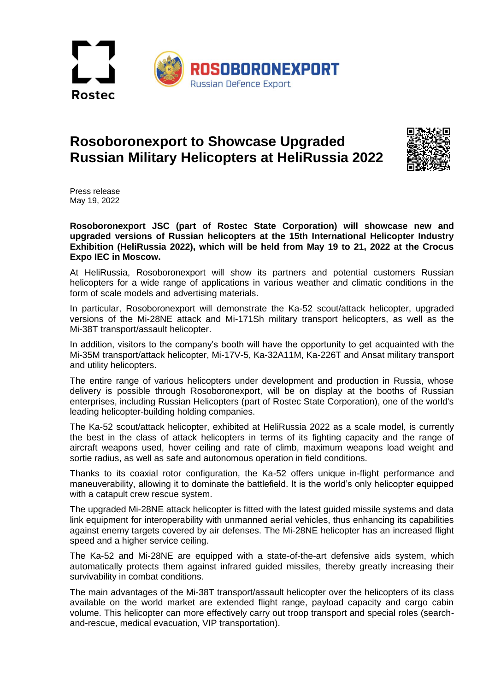

## **Rosoboronexport to Showcase Upgraded Russian Military Helicopters at HeliRussia 2022**



Press release May 19, 2022

**Rosoboronexport JSC (part of Rostec State Corporation) will showcase new and upgraded versions of Russian helicopters at the 15th International Helicopter Industry Exhibition (HeliRussia 2022), which will be held from May 19 to 21, 2022 at the Crocus Expo IEC in Moscow.**

At HeliRussia, Rosoboronexport will show its partners and potential customers Russian helicopters for a wide range of applications in various weather and climatic conditions in the form of scale models and advertising materials.

In particular, Rosoboronexport will demonstrate the Ka-52 scout/attack helicopter, upgraded versions of the Mi-28NE attack and Mi-171Sh military transport helicopters, as well as the Mi-38T transport/assault helicopter.

In addition, visitors to the company's booth will have the opportunity to get acquainted with the Mi-35M transport/attack helicopter, Mi-17V-5, Ka-32A11M, Ka-226T and Ansat military transport and utility helicopters.

The entire range of various helicopters under development and production in Russia, whose delivery is possible through Rosoboronexport, will be on display at the booths of Russian enterprises, including Russian Helicopters (part of Rostec State Corporation), one of the world's leading helicopter-building holding companies.

The Ka-52 scout/attack helicopter, exhibited at HeliRussia 2022 as a scale model, is currently the best in the class of attack helicopters in terms of its fighting capacity and the range of aircraft weapons used, hover ceiling and rate of climb, maximum weapons load weight and sortie radius, as well as safe and autonomous operation in field conditions.

Thanks to its coaxial rotor configuration, the Ka-52 offers unique in-flight performance and maneuverability, allowing it to dominate the battlefield. It is the world's only helicopter equipped with a catapult crew rescue system.

The upgraded Mi-28NE attack helicopter is fitted with the latest guided missile systems and data link equipment for interoperability with unmanned aerial vehicles, thus enhancing its capabilities against enemy targets covered by air defenses. The Mi-28NE helicopter has an increased flight speed and a higher service ceiling.

The Ka-52 and Mi-28NE are equipped with a state-of-the-art defensive aids system, which automatically protects them against infrared guided missiles, thereby greatly increasing their survivability in combat conditions.

The main advantages of the Mi-38T transport/assault helicopter over the helicopters of its class available on the world market are extended flight range, payload capacity and cargo cabin volume. This helicopter can more effectively carry out troop transport and special roles (searchand-rescue, medical evacuation, VIP transportation).